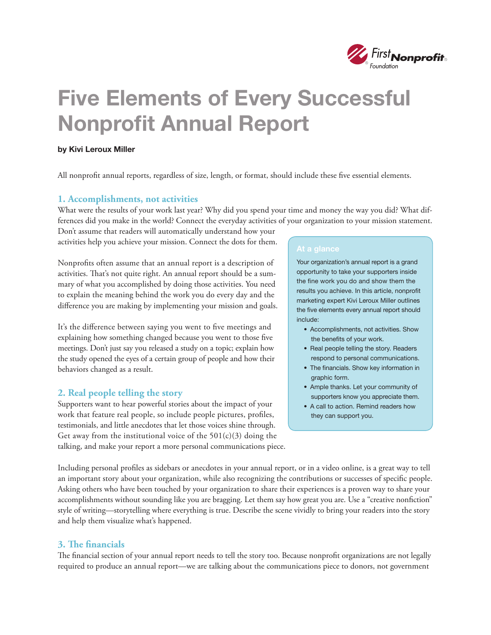

# Five Elements of Every Successful Nonprofit Annual Report

### by Kivi Leroux Miller

All nonprofit annual reports, regardless of size, length, or format, should include these five essential elements.

### **1. Accomplishments, not activities**

What were the results of your work last year? Why did you spend your time and money the way you did? What differences did you make in the world? Connect the everyday activities of your organization to your mission statement.

Don't assume that readers will automatically understand how your activities help you achieve your mission. Connect the dots for them.

Nonprofits often assume that an annual report is a description of activities. That's not quite right. An annual report should be a summary of what you accomplished by doing those activities. You need to explain the meaning behind the work you do every day and the difference you are making by implementing your mission and goals.

It's the difference between saying you went to five meetings and explaining how something changed because you went to those five meetings. Don't just say you released a study on a topic; explain how the study opened the eyes of a certain group of people and how their behaviors changed as a result.

## **2. Real people telling the story**

Supporters want to hear powerful stories about the impact of your work that feature real people, so include people pictures, profiles, testimonials, and little anecdotes that let those voices shine through. Get away from the institutional voice of the  $501(c)(3)$  doing the talking, and make your report a more personal communications piece.

Your organization's annual report is a grand opportunity to take your supporters inside the fine work you do and show them the results you achieve. In this article, nonprofit marketing expert Kivi Leroux Miller outlines the five elements every annual report should include:

- Accomplishments, not activities. Show the benefits of your work.
- Real people telling the story. Readers respond to personal communications.
- The financials. Show key information in graphic form.
- Ample thanks. Let your community of supporters know you appreciate them.
- A call to action. Remind readers how they can support you.

Including personal profiles as sidebars or anecdotes in your annual report, or in a video online, is a great way to tell an important story about your organization, while also recognizing the contributions or successes of specific people. Asking others who have been touched by your organization to share their experiences is a proven way to share your accomplishments without sounding like you are bragging. Let them say how great you are. Use a "creative nonfiction" style of writing—storytelling where everything is true. Describe the scene vividly to bring your readers into the story and help them visualize what's happened.

### **3. The financials**

The financial section of your annual report needs to tell the story too. Because nonprofit organizations are not legally required to produce an annual report—we are talking about the communications piece to donors, not government